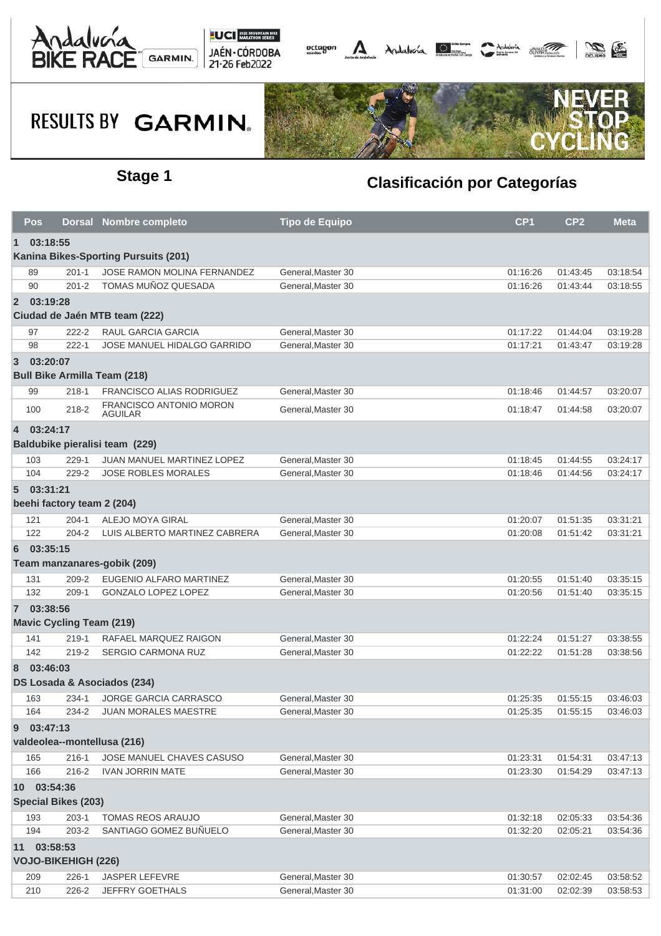





|                                             | Pos                                     | <b>Dorsal</b>                   | <b>Nombre completo</b>                      | <b>Tipo de Equipo</b> | CP <sub>1</sub>      | CP <sub>2</sub>      | Meta                 |  |  |
|---------------------------------------------|-----------------------------------------|---------------------------------|---------------------------------------------|-----------------------|----------------------|----------------------|----------------------|--|--|
| 03:18:55<br>1                               |                                         |                                 |                                             |                       |                      |                      |                      |  |  |
| <b>Kanina Bikes-Sporting Pursuits (201)</b> |                                         |                                 |                                             |                       |                      |                      |                      |  |  |
|                                             | 89                                      | $201 - 1$                       | <b>JOSE RAMON MOLINA FERNANDEZ</b>          | General.Master 30     | 01:16:26             | 01:43:45             | 03:18:54             |  |  |
|                                             | 90                                      | $201 - 2$                       | TOMAS MUÑOZ QUESADA                         | General.Master 30     | 01:16:26             | 01:43:44             | 03:18:55             |  |  |
| $\overline{2}$                              | 03:19:28                                |                                 |                                             |                       |                      |                      |                      |  |  |
|                                             |                                         |                                 | Ciudad de Jaén MTB team (222)               |                       |                      |                      |                      |  |  |
|                                             | 97                                      | $222 - 2$                       | RAUL GARCIA GARCIA                          | General, Master 30    | 01:17:22             | 01:44:04             | 03:19:28             |  |  |
|                                             | 98                                      | $222 - 1$                       | <b>JOSE MANUEL HIDALGO GARRIDO</b>          | General.Master 30     | 01:17:21             | 01:43:47             | 03:19:28             |  |  |
| $\mathbf{3}$                                | 03:20:07                                |                                 |                                             |                       |                      |                      |                      |  |  |
|                                             |                                         |                                 | <b>Bull Bike Armilla Team (218)</b>         |                       |                      |                      |                      |  |  |
|                                             | 99                                      | 218-1                           | FRANCISCO ALIAS RODRIGUEZ                   | General, Master 30    | 01:18:46             | 01:44:57             | 03:20:07             |  |  |
|                                             | 100                                     | 218-2                           | FRANCISCO ANTONIO MORON                     | General, Master 30    | 01:18:47             | 01:44:58             | 03:20:07             |  |  |
|                                             |                                         |                                 | <b>AGUILAR</b>                              |                       |                      |                      |                      |  |  |
|                                             | 4 03:24:17                              |                                 |                                             |                       |                      |                      |                      |  |  |
| Baldubike pieralisi team (229)              |                                         |                                 |                                             |                       |                      |                      |                      |  |  |
|                                             | 103                                     | 229-1                           | <b>JUAN MANUEL MARTINEZ LOPEZ</b>           | General, Master 30    | 01:18:45             | 01:44:55             | 03:24:17             |  |  |
|                                             | 104                                     | 229-2                           | <b>JOSE ROBLES MORALES</b>                  | General, Master 30    | 01:18:46             | 01:44:56             | 03:24:17             |  |  |
| $5^{\circ}$                                 | 03:31:21                                |                                 |                                             |                       |                      |                      |                      |  |  |
|                                             |                                         | beehi factory team 2 (204)      |                                             |                       |                      |                      |                      |  |  |
|                                             | 121                                     | $204 - 1$                       | ALEJO MOYA GIRAL                            | General, Master 30    | 01:20:07             | 01:51:35             | 03:31:21             |  |  |
|                                             | 122                                     | $204 - 2$                       | LUIS ALBERTO MARTINEZ CABRERA               | General, Master 30    | 01:20:08             | 01:51:42             | 03:31:21             |  |  |
| 6                                           | 03:35:15                                |                                 |                                             |                       |                      |                      |                      |  |  |
|                                             |                                         |                                 | Team manzanares-gobik (209)                 |                       |                      |                      |                      |  |  |
|                                             | 131                                     | 209-2                           | EUGENIO ALFARO MARTINEZ                     | General, Master 30    | 01:20:55             | 01:51:40             | 03:35:15             |  |  |
|                                             | 132                                     | $209-1$                         | GONZALO LOPEZ LOPEZ                         | General, Master 30    | 01:20:56             | 01:51:40             | 03:35:15             |  |  |
|                                             | 7 03:38:56                              |                                 |                                             |                       |                      |                      |                      |  |  |
|                                             |                                         | <b>Mavic Cycling Team (219)</b> |                                             |                       |                      |                      |                      |  |  |
|                                             | 141                                     | $219-1$                         | RAFAEL MARQUEZ RAIGON                       | General, Master 30    | 01:22:24             | 01:51:27             | 03:38:55             |  |  |
|                                             | 142                                     | 219-2                           | <b>SERGIO CARMONA RUZ</b>                   | General, Master 30    | 01:22:22             | 01:51:28             | 03:38:56             |  |  |
| 8                                           | 03:46:03                                |                                 |                                             |                       |                      |                      |                      |  |  |
| DS Losada & Asociados (234)                 |                                         |                                 |                                             |                       |                      |                      |                      |  |  |
|                                             | 163                                     | 234-1                           | JORGE GARCIA CARRASCO                       | General, Master 30    | 01:25:35             | 01:55:15             | 03:46:03             |  |  |
|                                             | 164                                     | 234-2                           | <b>JUAN MORALES MAESTRE</b>                 | General, Master 30    | 01:25:35             | 01:55:15             | 03:46:03             |  |  |
| $9^{\circ}$                                 |                                         |                                 |                                             |                       |                      |                      |                      |  |  |
|                                             | 03:47:13<br>valdeolea--montellusa (216) |                                 |                                             |                       |                      |                      |                      |  |  |
|                                             | 165                                     | 216-1                           | JOSE MANUEL CHAVES CASUSO                   | General, Master 30    | 01:23:31             | 01:54:31             | 03:47:13             |  |  |
|                                             | 166                                     | $216 - 2$                       | <b>IVAN JORRIN MATE</b>                     | General, Master 30    | 01:23:30             | 01:54:29             | 03:47:13             |  |  |
|                                             |                                         |                                 |                                             |                       |                      |                      |                      |  |  |
| 10 03:54:36<br><b>Special Bikes (203)</b>   |                                         |                                 |                                             |                       |                      |                      |                      |  |  |
|                                             |                                         |                                 |                                             | General.Master 30     |                      |                      |                      |  |  |
|                                             | 193<br>194                              | $203-1$<br>203-2                | TOMAS REOS ARAUJO<br>SANTIAGO GOMEZ BUÑUELO | General, Master 30    | 01:32:18<br>01:32:20 | 02:05:33<br>02:05:21 | 03:54:36<br>03:54:36 |  |  |
|                                             |                                         |                                 |                                             |                       |                      |                      |                      |  |  |
| 11 03:58:53<br><b>VOJO-BIKEHIGH (226)</b>   |                                         |                                 |                                             |                       |                      |                      |                      |  |  |
|                                             |                                         |                                 |                                             |                       |                      |                      |                      |  |  |
|                                             | 209                                     | $226-1$                         | <b>JASPER LEFEVRE</b>                       | General, Master 30    | 01:30:57             | 02:02:45             | 03:58:52             |  |  |
|                                             | 210                                     | 226-2                           | JEFFRY GOETHALS                             | General, Master 30    | 01:31:00             | 02:02:39             | 03:58:53             |  |  |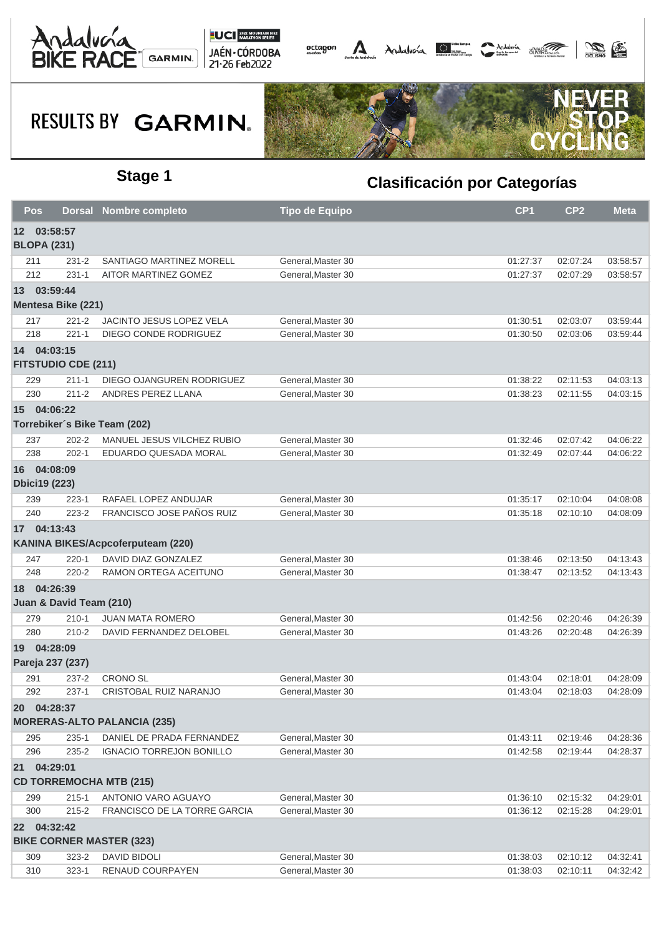





| Pos                                               |                                           | <b>Dorsal Nombre completo</b>     | <b>Tipo de Equipo</b> | CP <sub>1</sub> | CP <sub>2</sub> | <b>Meta</b> |  |  |
|---------------------------------------------------|-------------------------------------------|-----------------------------------|-----------------------|-----------------|-----------------|-------------|--|--|
| 12 03:58:57<br><b>BLOPA (231)</b>                 |                                           |                                   |                       |                 |                 |             |  |  |
| 211                                               | 231-2                                     | SANTIAGO MARTINEZ MORELL          | General, Master 30    | 01:27:37        | 02:07:24        | 03:58:57    |  |  |
| 212                                               | $231 - 1$                                 | AITOR MARTINEZ GOMEZ              | General, Master 30    | 01:27:37        | 02:07:29        | 03:58:57    |  |  |
|                                                   | 13 03:59:44                               |                                   |                       |                 |                 |             |  |  |
|                                                   | <b>Mentesa Bike (221)</b>                 |                                   |                       |                 |                 |             |  |  |
| 217                                               | $221 - 2$                                 | JACINTO JESUS LOPEZ VELA          | General, Master 30    | 01:30:51        | 02:03:07        | 03:59:44    |  |  |
| 218                                               | $221 - 1$                                 | DIEGO CONDE RODRIGUEZ             | General, Master 30    | 01:30:50        | 02:03:06        | 03:59:44    |  |  |
|                                                   | 14 04:03:15<br><b>FITSTUDIO CDE (211)</b> |                                   |                       |                 |                 |             |  |  |
| 229                                               | $211 - 1$                                 | DIEGO OJANGUREN RODRIGUEZ         | General, Master 30    | 01:38:22        | 02:11:53        | 04:03:13    |  |  |
| 230                                               | $211 - 2$                                 | ANDRES PEREZ LLANA                | General, Master 30    | 01:38:23        | 02:11:55        | 04:03:15    |  |  |
|                                                   | 15 04:06:22                               |                                   |                       |                 |                 |             |  |  |
|                                                   |                                           | Torrebiker's Bike Team (202)      |                       |                 |                 |             |  |  |
| 237                                               | $202 - 2$                                 | MANUEL JESUS VILCHEZ RUBIO        | General.Master 30     | 01:32:46        | 02:07:42        | 04:06:22    |  |  |
| 238                                               | $202 - 1$                                 | EDUARDO QUESADA MORAL             | General.Master 30     | 01:32:49        | 02:07:44        | 04:06:22    |  |  |
|                                                   | 16 04:08:09<br><b>Dbici19 (223)</b>       |                                   |                       |                 |                 |             |  |  |
| 239                                               | 223-1                                     | RAFAEL LOPEZ ANDUJAR              | General, Master 30    | 01:35:17        | 02:10:04        | 04:08:08    |  |  |
| 240                                               | $223 - 2$                                 | FRANCISCO JOSE PAÑOS RUIZ         | General, Master 30    | 01:35:18        | 02:10:10        | 04:08:09    |  |  |
|                                                   | 17 04:13:43                               |                                   |                       |                 |                 |             |  |  |
|                                                   |                                           | KANINA BIKES/Acpcoferputeam (220) |                       |                 |                 |             |  |  |
| 247                                               | $220 - 1$                                 | DAVID DIAZ GONZALEZ               | General, Master 30    | 01:38:46        | 02:13:50        | 04:13:43    |  |  |
| 248                                               | $220 - 2$                                 | RAMON ORTEGA ACEITUNO             | General, Master 30    | 01:38:47        | 02:13:52        | 04:13:43    |  |  |
|                                                   | 18 04:26:39<br>Juan & David Team (210)    |                                   |                       |                 |                 |             |  |  |
| 279                                               | $210 - 1$                                 | <b>JUAN MATA ROMERO</b>           | General, Master 30    | 01:42:56        | 02:20:46        | 04:26:39    |  |  |
| 280                                               | $210 - 2$                                 | DAVID FERNANDEZ DELOBEL           | General.Master 30     | 01:43:26        | 02:20:48        | 04:26:39    |  |  |
|                                                   | 19 04:28:09<br>Pareja 237 (237)           |                                   |                       |                 |                 |             |  |  |
| 291                                               | 237-2                                     | <b>CRONO SL</b>                   | General, Master 30    | 01:43:04        | 02:18:01        | 04:28:09    |  |  |
| 292                                               | 237-1                                     | CRISTOBAL RUIZ NARANJO            | General.Master 30     | 01:43:04        | 02:18:03        | 04:28:09    |  |  |
| 20 04:28:37<br><b>MORERAS-ALTO PALANCIA (235)</b> |                                           |                                   |                       |                 |                 |             |  |  |
| 295                                               | $235 - 1$                                 | DANIEL DE PRADA FERNANDEZ         | General, Master 30    | 01:43:11        | 02:19:46        | 04:28:36    |  |  |
| 296                                               | 235-2                                     | <b>IGNACIO TORREJON BONILLO</b>   | General.Master 30     | 01:42:58        | 02:19:44        | 04:28:37    |  |  |
|                                                   |                                           |                                   |                       |                 |                 |             |  |  |
|                                                   | 21 04:29:01                               | <b>CD TORREMOCHA MTB (215)</b>    |                       |                 |                 |             |  |  |
| 299                                               | $215 - 1$                                 | ANTONIO VARO AGUAYO               | General, Master 30    | 01:36:10        | 02:15:32        | 04:29:01    |  |  |
| 300                                               | $215 - 2$                                 | FRANCISCO DE LA TORRE GARCIA      | General, Master 30    | 01:36:12        | 02:15:28        | 04:29:01    |  |  |
|                                                   | 22 04:32:42                               |                                   |                       |                 |                 |             |  |  |
|                                                   |                                           | <b>BIKE CORNER MASTER (323)</b>   |                       |                 |                 |             |  |  |
| 309                                               | $323 - 2$                                 | <b>DAVID BIDOLI</b>               | General, Master 30    | 01:38:03        | 02:10:12        | 04:32:41    |  |  |
| 310                                               | $323 - 1$                                 | RENAUD COURPAYEN                  | General, Master 30    | 01:38:03        | 02:10:11        | 04:32:42    |  |  |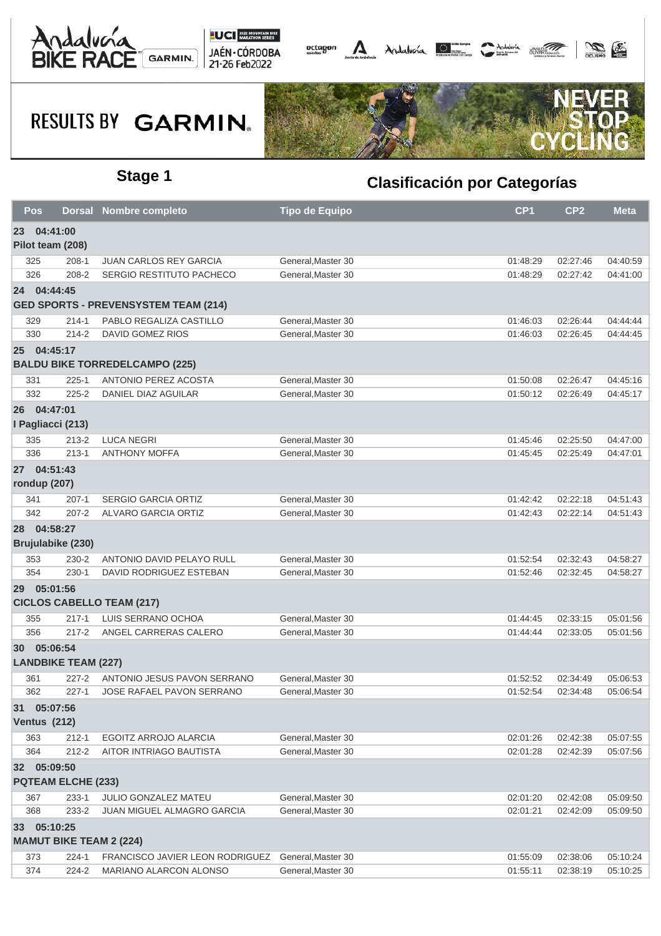





|                                          | Pos               |                            | <b>Dorsal Nombre completo</b>                    | <b>Tipo de Equipo</b> | CP <sub>1</sub>      | CP <sub>2</sub>      | <b>Meta</b>          |  |
|------------------------------------------|-------------------|----------------------------|--------------------------------------------------|-----------------------|----------------------|----------------------|----------------------|--|
| 04:41:00<br>23                           |                   |                            |                                                  |                       |                      |                      |                      |  |
|                                          | Pilot team (208)  |                            |                                                  |                       |                      |                      |                      |  |
|                                          | 325               | 208-1                      | <b>JUAN CARLOS REY GARCIA</b>                    | General.Master 30     | 01:48:29             | 02:27:46             | 04:40:59             |  |
|                                          | 326               | 208-2                      | SERGIO RESTITUTO PACHECO                         | General, Master 30    | 01:48:29             | 02:27:42             | 04:41:00             |  |
|                                          | 24 04:44:45       |                            |                                                  |                       |                      |                      |                      |  |
|                                          |                   |                            | <b>GED SPORTS - PREVENSYSTEM TEAM (214)</b>      |                       |                      |                      |                      |  |
|                                          | 329               | $214 - 1$                  | PABLO REGALIZA CASTILLO                          | General, Master 30    | 01:46:03             | 02:26:44             | 04:44:44             |  |
|                                          | 330               | $214 - 2$                  | <b>DAVID GOMEZ RIOS</b>                          | General, Master 30    | 01:46:03             | 02:26:45             | 04:44:45             |  |
|                                          | 25 04:45:17       |                            |                                                  |                       |                      |                      |                      |  |
|                                          |                   |                            | <b>BALDU BIKE TORREDELCAMPO (225)</b>            |                       |                      |                      |                      |  |
|                                          | 331               | $225 - 1$                  | ANTONIO PEREZ ACOSTA                             | General, Master 30    | 01:50:08             | 02:26:47             | 04:45:16             |  |
|                                          | 332               | $225 - 2$                  | <b>DANIEL DIAZ AGUILAR</b>                       | General, Master 30    | 01:50:12             | 02:26:49             | 04:45:17             |  |
|                                          | 26 04:47:01       |                            |                                                  |                       |                      |                      |                      |  |
|                                          | I Pagliacci (213) |                            |                                                  |                       |                      |                      |                      |  |
|                                          | 335               | $213 - 2$                  | <b>LUCA NEGRI</b>                                | General, Master 30    | 01:45:46             | 02:25:50             | 04:47:00             |  |
|                                          | 336               | $213 - 1$                  | <b>ANTHONY MOFFA</b>                             | General, Master 30    | 01:45:45             | 02:25:49             | 04:47:01             |  |
|                                          | 27 04:51:43       |                            |                                                  |                       |                      |                      |                      |  |
|                                          | rondup (207)      |                            |                                                  |                       |                      |                      |                      |  |
|                                          | 341               | $207-1$                    | <b>SERGIO GARCIA ORTIZ</b>                       | General.Master 30     | 01:42:42             | 02:22:18             | 04:51:43             |  |
|                                          | 342               | $207 - 2$                  | ALVARO GARCIA ORTIZ                              | General, Master 30    | 01:42:43             | 02:22:14             | 04:51:43             |  |
|                                          | 28 04:58:27       |                            |                                                  |                       |                      |                      |                      |  |
|                                          | Brujulabike (230) |                            |                                                  |                       |                      |                      |                      |  |
|                                          | 353               | 230-2                      | ANTONIO DAVID PELAYO RULL                        | General, Master 30    | 01:52:54             | 02:32:43             | 04:58:27             |  |
|                                          | 354               | 230-1                      | DAVID RODRIGUEZ ESTEBAN                          | General, Master 30    | 01:52:46             | 02:32:45             | 04:58:27             |  |
|                                          | 29 05:01:56       |                            |                                                  |                       |                      |                      |                      |  |
|                                          |                   |                            | <b>CICLOS CABELLO TEAM (217)</b>                 |                       |                      |                      |                      |  |
|                                          | 355               | $217 - 1$                  | LUIS SERRANO OCHOA                               | General, Master 30    | 01:44:45             | 02:33:15             | 05:01:56             |  |
|                                          | 356               | $217 - 2$                  | ANGEL CARRERAS CALERO                            | General, Master 30    | 01:44:44             | 02:33:05             | 05:01:56             |  |
|                                          | 30 05:06:54       |                            |                                                  |                       |                      |                      |                      |  |
|                                          |                   | <b>LANDBIKE TEAM (227)</b> |                                                  |                       |                      |                      |                      |  |
|                                          | 361               | $227 - 2$                  | ANTONIO JESUS PAVON SERRANO                      | General, Master 30    | 01:52:52             | 02:34:49             | 05:06:53             |  |
|                                          | 362               | $227 - 1$                  | JOSE RAFAEL PAVON SERRANO                        | General, Master 30    | 01:52:54             | 02:34:48             | 05:06:54             |  |
|                                          |                   |                            |                                                  |                       |                      |                      |                      |  |
| 31 05:07:56<br><b>Ventus (212)</b>       |                   |                            |                                                  |                       |                      |                      |                      |  |
|                                          |                   |                            |                                                  | General, Master 30    |                      |                      |                      |  |
|                                          | 363<br>364        | $212 - 1$<br>$212 - 2$     | EGOITZ ARROJO ALARCIA<br>AITOR INTRIAGO BAUTISTA | General.Master 30     | 02:01:26<br>02:01:28 | 02:42:38<br>02:42:39 | 05:07:55<br>05:07:56 |  |
|                                          |                   |                            |                                                  |                       |                      |                      |                      |  |
| 32 05:09:50<br><b>PQTEAM ELCHE (233)</b> |                   |                            |                                                  |                       |                      |                      |                      |  |
|                                          |                   |                            |                                                  |                       |                      |                      |                      |  |
|                                          | 367               | $233 - 1$                  | JULIO GONZALEZ MATEU                             | General, Master 30    | 02:01:20             | 02:42:08             | 05:09:50             |  |
|                                          | 368               | 233-2                      | JUAN MIGUEL ALMAGRO GARCIA                       | General, Master 30    | 02:01:21             | 02:42:09             | 05:09:50             |  |
| 33 05:10:25                              |                   |                            |                                                  |                       |                      |                      |                      |  |
| <b>MAMUT BIKE TEAM 2 (224)</b>           |                   |                            |                                                  |                       |                      |                      |                      |  |
|                                          | 373               | $224 - 1$                  | FRANCISCO JAVIER LEON RODRIGUEZ                  | General, Master 30    | 01:55:09             | 02:38:06             | 05:10:24             |  |
|                                          | 374               | 224-2                      | MARIANO ALARCON ALONSO                           | General, Master 30    | 01:55:11             | 02:38:19             | 05:10:25             |  |